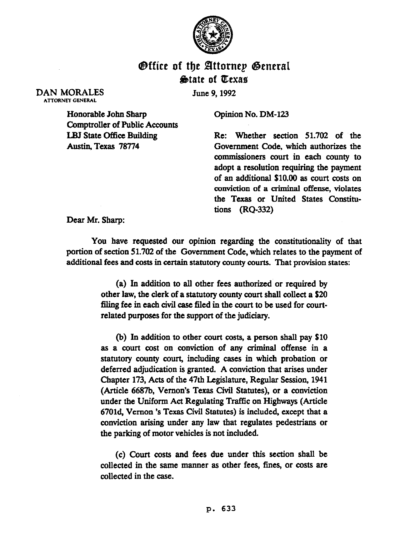

## **Office of the Attornep General State of Texas**

June 9,199Z

Honorable John Sharp Comptroller of Public Accounts LBJ State Gffice Building Austin,Texas 78774

Opinion No. DM-123

Re: Whether section 51.702 of the Government Code, which authorizes the commissioners court in each county to adopt a resolution requiring the payment of an additional \$10.00 as court costs on conviction of a criminal offense, violates the Texas or United States Constitutions (RQ-332)

Dear Mr. Sharp:

DAN MORALES ATTORNEY GENERAL

> You have requested our opinion regarding the constitutionality of that portion of section 51.702 of the Government Code, which relates to the payment of additional fees and costs in certain statutory county courts. That provision states:

> > (a) In addition to all other fees authorized or required by other law, the clerk of a statutory county court shall collect a \$20 filing fee in each civil case filed in the court to be used for courtrelated purposes for the support of the judiciary.

> > (b) In addition to other court costs, a person shall pay \$10 as a court cost on conviction of any criminal offense in a statutory county court, including cases in which probation or deferred adjudication is granted. A conviction that arises under Chapter 173, Acts of the 47th Legislature, Regular Session, 1941 (Article 6687b. Vernon's Texas Civil Statutes), or a conviction under the Uniform Act Regulating Traffic on Highways (Article 67Old, Vernon 's Texas Civil Statutes) is included, except that a conviction arising under any law that regulates pedestrians or the parking of motor vehicles is not included.

> > (c) Court costs and fees due under this section shall be collected in the same manner as other fees, fines, or costs are collected in the case.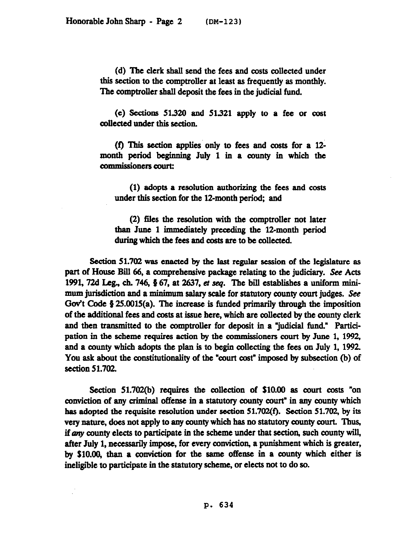(d) The clerk shall send the fees and costs collected under this section to the comptroller at least as frequently as monthly. The comptroller shall deposit the fees in the judicial fund.

(e) Sections 51.320 and 51.321 apply to a fee or cost collected under this section.

(f) This section applies only to fees and costs for a l2 month period beginning July 1 in a county in which the commissioners court:

(1) adopts a resolution authorizing the fees and costs under this section for the 12-month period; and

(2) files the resolution with the comptroller not later than June 1 immediately preceding the 12-month period during which the fees and costs are to be collected.

Section 51.702 was enacted by the last regular session of the legislature as part of House Bill 66, a comprehensive package relating to the judiciary. See Acts 1991, 72d Leg., ch. 746,  $\S 67$ , at 2637, et seq. The bill establishes a uniform minimum jurisdiction and a minimum salary scale for statutory county court judges. See Gov't Code  $\S 25.0015(a)$ . The increase is funded primarily through the imposition of the additional fees and costs at issue here, which are collected by the county clerk and then transmitted to the comptroller for deposit in a "judicial fund." Participation in the scheme requires action by the commissioners court by June 1.1992, and a county which adopts the plan is to begin collecting the fees on July 1.1992. You ask about the constitutionality of the "court cost" imposed by subsection (b) of section 51.702.

Section 51.702(b) requires the collection of \$10.00 as court costs "on conviction of any crimmal offense in a statutory county court" in any county which has adopted the requisite resolution under section 51.702(f). Section 51.702, by its very nature, does not apply to any county which has no statutory county court. Thus, if any county elects to participate in the scheme under that section, such county will, after July 1, necessarily impose, for every conviction, a punishment which is greater, by \$10.00, than a conviction for the same offense in a county which either is ineligible to participate in the statutory scheme, or elects not to do so.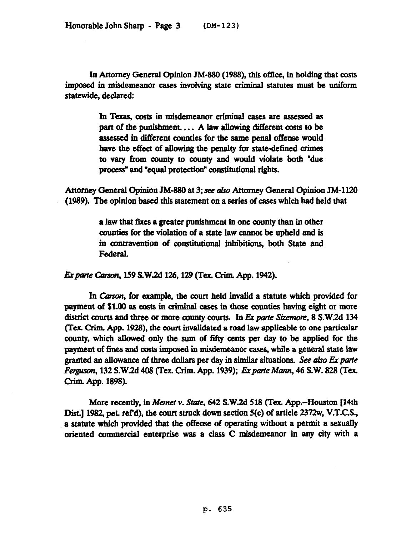In Attorney General opinion JM-880 (1988). this office, in holding that costs imposed in misdemeanor cases involving state criminal statutes must be uniform statewide, declared:

> In Texas, costs in misdemeanor criminal cases are assessed as part of the punishment.... A law allowing different costs to be assessed in different counties for the same penal offense would have the effect of allowing the penalty for state-defined crimes to vary from county to county and would violate both "due process" and "equal protection" constitutional rights.

Attorney General Opinion JM-880 at 3; see also Attorney General Opinion JM-1120 (1989). The opinion based this statement on a series of cases which had held that

> a Jaw that fixes a greater punishment in one county than in other counties for the violation of a state law cannot be upheld and is in contravention of constitutional inhibitions, both State and Federal.

Ex parte Carson, 159 S.W.2d 126, 129 (Tex. Crim. App. 1942).

In Carson, for example, the court held invalid a statute which provided for payment of \$1.00 as costs in criminal cases in those counties having eight or more district courts and three or more county courts. In Ex parte Sizemore, 8 S.W.2d 134 (Tex. Crim. App. 1928), the court invalidated a road law applicable to one particular county, which allowed only the sum of fifty cents per day to be applied for the payment of fines and costs imposed in misdemeanor cases, while a general state law granted an allowance of three dollars per day in similar situations. See also Ex parte *Ferguson, 132 S.W.2d 408 (Tex. Crim. App. 1939); Ex parte Mann, 46 S.W. 828 (Tex.* Grim. App. 1898).

More recently, in Memet v. State, 642 S.W.2d 518 (Tex. App.-Houston [14th Dist.] 1982, pet. ref'd), the court struck down section 5(c) of article 2372w, V.T.C.S., a statute which provided that the offense of operating without a permit a sexually oriented commercial enterprise was a class C misdemeanor in any city with a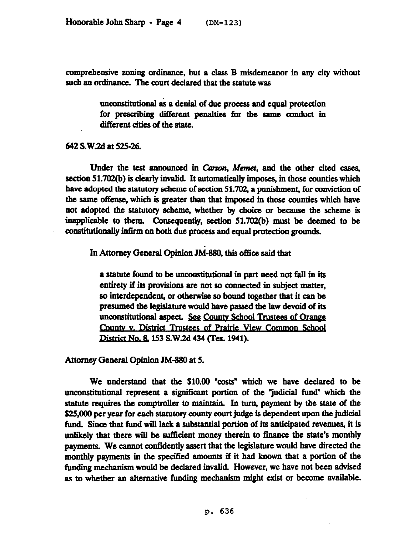comprehensive zoning ordinance, but a class B misdemeanor in any city without such an ordinance. The court declared that the statute was

> tmconstitutional as a denial of due process and equal protection for prescribing different penalties for the same conduct in different cities of the state.

## 642 S.W.2d at 525-26.

Under the test announced in Carson, Memet, and the other cited cases, section 51.702(b) is clearly invalid. It automatically imposes, in those counties which have adopted the statutory scheme of section 51.702, a punishment, for conviction of the same offense, which is greater than that imposed in those counties which have not adopted the statutory scheme, whether by choice or because the scheme is inapplicable to them. Consequently, section 51.702(b) must be deemed to be constitutionally infirm on both due process and equal protection grouads.

In Attorney General Opinion JM-880, this office said that

a statute found to be unconstitutional in part need not fall in its entirety if its provisions are not so connected in subject matter, so interdependent, or otherwise so bound together that it can be. presumed the legislature would have passed the law devoid of its unconstitutional aspect. See County School Trustees of Orange County v. District Trustees of Prairie View Common School<br>District No. 8, 153 S.W.2d 434 (Tex. 1941).

Attorney General Opinion JM-880 at 5.

We understand that the \$10.00 "costs" which we have declared to be unconstitutional represent a significant portion of the "judicial fund" which the statute requires the comptroller to maintain. In turn, payment by the state of the \$25,000 per year for each statutory county court judge is dependent upon the judicial fund. Since that fund will lack a substantial portion of its anticipated revenues, it is unlikely that there will be sufficient money therein to finance the state's monthly payments. We cannot confidently assert that the legislature would have directed the monthly payments in the specified amounts if it had known that a portion of the funding mechanism would be declared invalid. However, we have not been advised as to whether an alternative funding mechanism might exist or become available.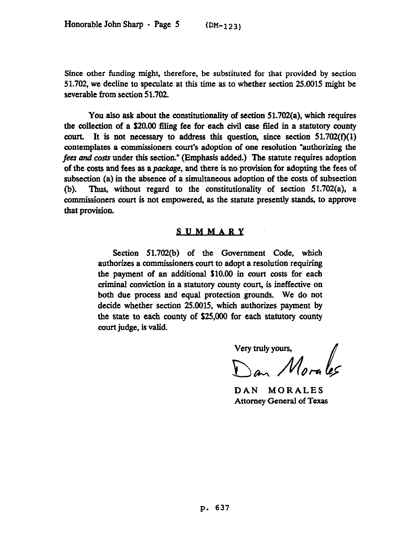Since other funding might, therefore, be substituted for that provided by section 51.702, we decline to speculate at this time as to whether section 25.0015 might be severable from section 51.702.

You also ask about the constitutionality of section 51.702(a), which requires the collection of a \$20.00 filing fee for each civil case filed in a statutory county court. It is not necessary to address this question, since section  $51.702(f)(1)$ contemplates a commissioners court's adoption of one resolution "authorizing the fees and costs under this section." (Emphasis added.) The statute requires adoption of the costs and fees as apackage, and there is no provision for adopting the fees of subsection (a) in the absence of a simultaneous adoption of the costs of subsection (b). Thus, without regard to the constitutionality of section 51.702(a), a commissioners court is not empowered, as the statute presently stands, to approve that provision.

## **SUMMARY**

Section 51.702(b) of the Government Code, which authorizes a commissioners court to adopt a resolution requiring the payment of an additional \$10.00 in court costs for each criminal conviction in a statutory county coun, is ineffective on both due process and equal protection grounds. We do not decide whether section 25.0015, which authorizes payment by the state to each county of \$25,000 for each statutory county court judge. is valid.

Very truly yours,<br> $M_{\text{max}}$  /  $\ell_{\text{max}}$ 

DAN MORALES Attorney General of Texas